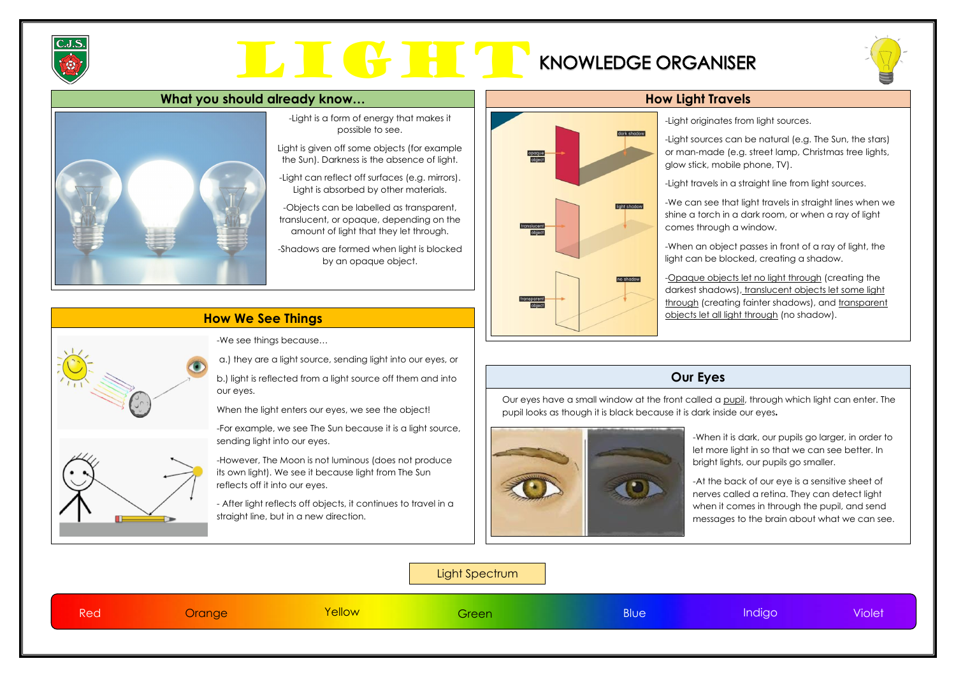

# LIGHT RESOLUTION





### **How We See Things**

### **Our Eyes**

-Light is a form of energy that makes it possible to see.

Light is given off some objects (for example the Sun). Darkness is the absence of light.

-Light can reflect off surfaces (e.g. mirrors). Light is absorbed by other materials.

-Objects can be labelled as transparent, translucent, or opaque, depending on the amount of light that they let through.

-Shadows are formed when light is blocked by an opaque object.

-Light originates from light sources.

-Light sources can be natural (e.g. The Sun, the stars) or man-made (e.g. street lamp, Christmas tree lights, glow stick, mobile phone, TV).

-Light travels in a straight line from light sources.

-We can see that light travels in straight lines when we shine a torch in a dark room, or when a ray of light comes through a window.

-When an object passes in front of a ray of light, the light can be blocked, creating a shadow.

-Opaque objects let no light through (creating the darkest shadows), translucent objects let some light through (creating fainter shadows), and transparent objects let all light through (no shadow).

Our eyes have a small window at the front called a pupil, through which light can enter. The pupil looks as though it is black because it is dark inside our eyes.



Light Spectrum





Red Orange Yellow Green Blue Indigo Violet

-When it is dark, our pupils go larger, in order to let more light in so that we can see better. In bright lights, our pupils go smaller.

-At the back of our eye is a sensitive sheet of nerves called a retina. They can detect light when it comes in through the pupil, and send messages to the brain about what we can see.





-We see things because…

a.) they are a light source, sending light into our eyes, or

b.) light is reflected from a light source off them and into our eyes.

When the light enters our eyes, we see the object!

-For example, we see The Sun because it is a light source, sending light into our eyes.

-However, The Moon is not luminous (does not produce its own light). We see it because light from The Sun reflects off it into our eyes.

- After light reflects off objects, it continues to travel in a straight line, but in a new direction.